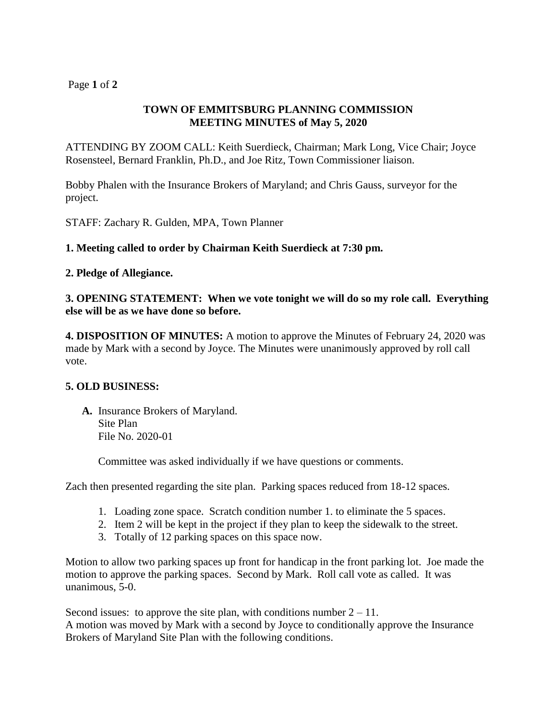# Page **1** of **2**

# **TOWN OF EMMITSBURG PLANNING COMMISSION MEETING MINUTES of May 5, 2020**

ATTENDING BY ZOOM CALL: Keith Suerdieck, Chairman; Mark Long, Vice Chair; Joyce Rosensteel, Bernard Franklin, Ph.D., and Joe Ritz, Town Commissioner liaison.

Bobby Phalen with the Insurance Brokers of Maryland; and Chris Gauss, surveyor for the project.

STAFF: Zachary R. Gulden, MPA, Town Planner

## **1. Meeting called to order by Chairman Keith Suerdieck at 7:30 pm.**

## **2. Pledge of Allegiance.**

**3. OPENING STATEMENT: When we vote tonight we will do so my role call. Everything else will be as we have done so before.** 

**4. DISPOSITION OF MINUTES:** A motion to approve the Minutes of February 24, 2020 was made by Mark with a second by Joyce. The Minutes were unanimously approved by roll call vote.

### **5. OLD BUSINESS:**

**A.** Insurance Brokers of Maryland. Site Plan File No. 2020-01

Committee was asked individually if we have questions or comments.

Zach then presented regarding the site plan. Parking spaces reduced from 18-12 spaces.

- 1. Loading zone space. Scratch condition number 1. to eliminate the 5 spaces.
- 2. Item 2 will be kept in the project if they plan to keep the sidewalk to the street.
- 3. Totally of 12 parking spaces on this space now.

Motion to allow two parking spaces up front for handicap in the front parking lot. Joe made the motion to approve the parking spaces. Second by Mark. Roll call vote as called. It was unanimous, 5-0.

Second issues: to approve the site plan, with conditions number  $2 - 11$ . A motion was moved by Mark with a second by Joyce to conditionally approve the Insurance Brokers of Maryland Site Plan with the following conditions.